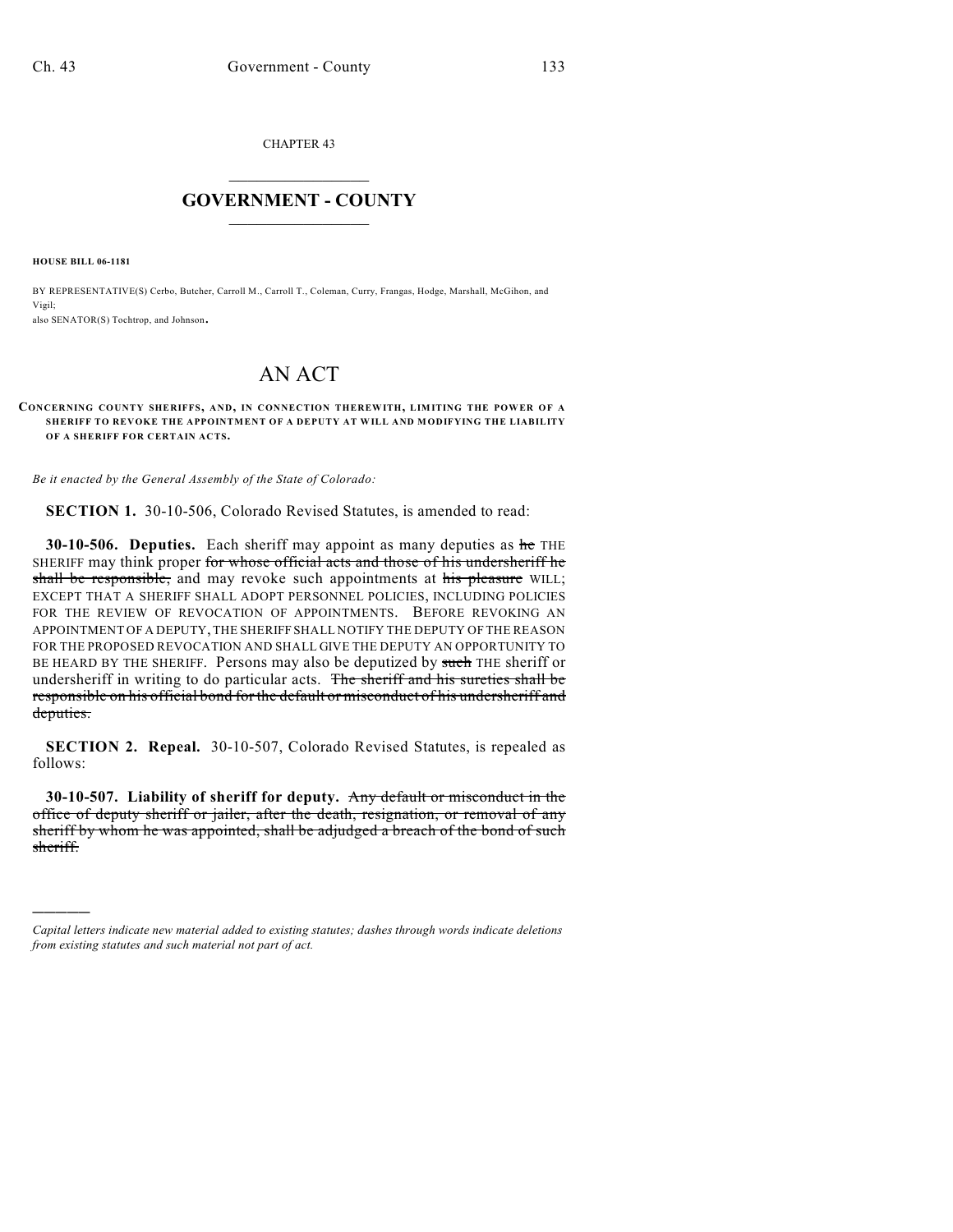CHAPTER 43

## $\overline{\phantom{a}}$  . The set of the set of the set of the set of the set of the set of the set of the set of the set of the set of the set of the set of the set of the set of the set of the set of the set of the set of the set o **GOVERNMENT - COUNTY**  $\_$

**HOUSE BILL 06-1181**

)))))

BY REPRESENTATIVE(S) Cerbo, Butcher, Carroll M., Carroll T., Coleman, Curry, Frangas, Hodge, Marshall, McGihon, and Vigil;

also SENATOR(S) Tochtrop, and Johnson.

## AN ACT

## **CONCERNING COUNTY SHERIFFS, AND, IN CONNECTION THEREWITH, LIMITING THE POWER OF A SHERIFF TO REVOKE THE APPOINTMENT OF A DEPUTY AT WILL AND MODIFYING THE LIABILITY OF A SHERIFF FOR CERTAIN ACTS.**

*Be it enacted by the General Assembly of the State of Colorado:*

**SECTION 1.** 30-10-506, Colorado Revised Statutes, is amended to read:

**30-10-506. Deputies.** Each sheriff may appoint as many deputies as he THE SHERIFF may think proper for whose official acts and those of his undersheriff he shall be responsible, and may revoke such appointments at his pleasure WILL; EXCEPT THAT A SHERIFF SHALL ADOPT PERSONNEL POLICIES, INCLUDING POLICIES FOR THE REVIEW OF REVOCATION OF APPOINTMENTS. BEFORE REVOKING AN APPOINTMENT OF A DEPUTY, THE SHERIFF SHALL NOTIFY THE DEPUTY OF THE REASON FOR THE PROPOSED REVOCATION AND SHALL GIVE THE DEPUTY AN OPPORTUNITY TO BE HEARD BY THE SHERIFF. Persons may also be deputized by such THE sheriff or undersheriff in writing to do particular acts. The sheriff and his sureties shall be responsible on his official bond for the default or misconduct of his undersheriff and deputies.

**SECTION 2. Repeal.** 30-10-507, Colorado Revised Statutes, is repealed as follows:

**30-10-507. Liability of sheriff for deputy.** Any default or misconduct in the office of deputy sheriff or jailer, after the death, resignation, or removal of any sheriff by whom he was appointed, shall be adjudged a breach of the bond of such sheriff.

*Capital letters indicate new material added to existing statutes; dashes through words indicate deletions from existing statutes and such material not part of act.*